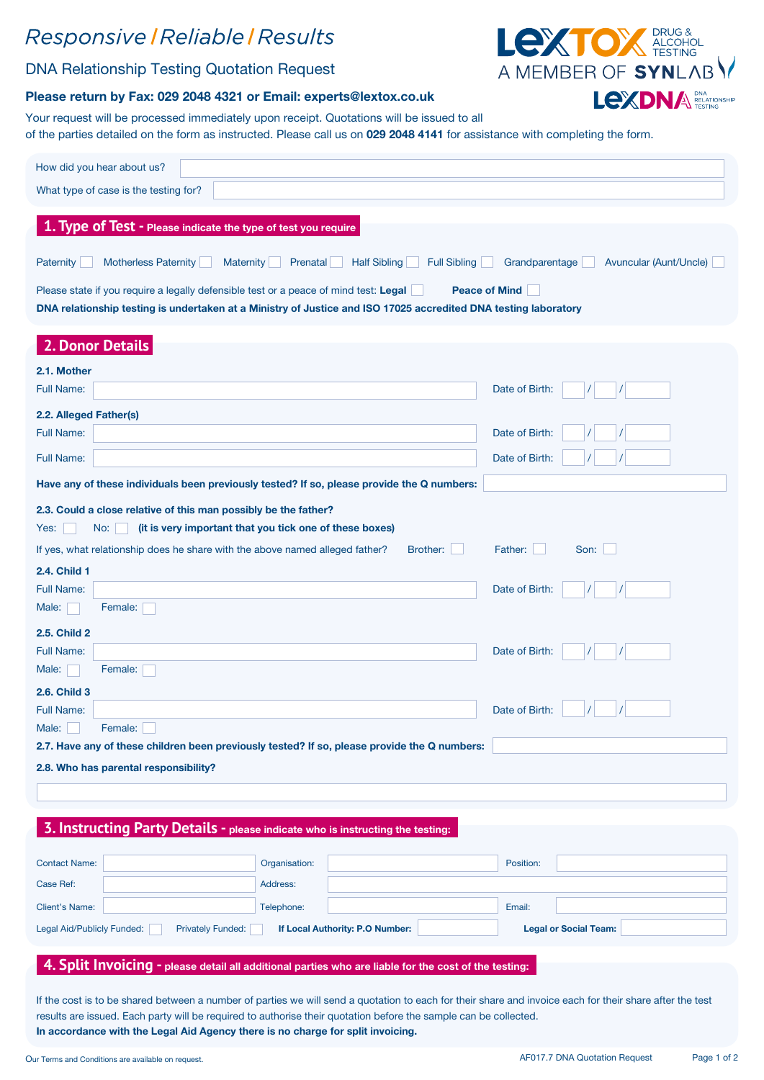## Responsive | Reliable | Results

### DNA Relationship Testing Quotation Request



#### Please return by Fax: 029 2048 4321 or Email: experts@lextox.co.uk

Your request will be processed immediately upon receipt. Quotations will be issued to all of the parties detailed on the form as instructed. Please call us on 029 2048 4141 for assistance with completing the form.

| How did you hear about us?<br>What type of case is the testing for?                                                                                                                                                             |                              |  |  |  |  |  |  |
|---------------------------------------------------------------------------------------------------------------------------------------------------------------------------------------------------------------------------------|------------------------------|--|--|--|--|--|--|
| 1. Type of Test - Please indicate the type of test you require                                                                                                                                                                  |                              |  |  |  |  |  |  |
| Motherless Paternity<br><b>Half Sibling</b><br><b>Full Sibling</b><br>Grandparentage<br>Paternity<br><b>Maternity</b><br><b>Prenatal</b><br>Avuncular (Aunt/Uncle)                                                              |                              |  |  |  |  |  |  |
| Please state if you require a legally defensible test or a peace of mind test: Legal<br><b>Peace of Mind</b><br>DNA relationship testing is undertaken at a Ministry of Justice and ISO 17025 accredited DNA testing laboratory |                              |  |  |  |  |  |  |
| 2. Donor Details                                                                                                                                                                                                                |                              |  |  |  |  |  |  |
| 2.1. Mother                                                                                                                                                                                                                     |                              |  |  |  |  |  |  |
| <b>Full Name:</b>                                                                                                                                                                                                               | Date of Birth:               |  |  |  |  |  |  |
| 2.2. Alleged Father(s)                                                                                                                                                                                                          |                              |  |  |  |  |  |  |
| <b>Full Name:</b>                                                                                                                                                                                                               | Date of Birth:               |  |  |  |  |  |  |
| Full Name:                                                                                                                                                                                                                      | Date of Birth:               |  |  |  |  |  |  |
| Have any of these individuals been previously tested? If so, please provide the Q numbers:                                                                                                                                      |                              |  |  |  |  |  |  |
| 2.3. Could a close relative of this man possibly be the father?                                                                                                                                                                 |                              |  |  |  |  |  |  |
| (it is very important that you tick one of these boxes)<br>Yes:<br>No:                                                                                                                                                          |                              |  |  |  |  |  |  |
| Brother:<br>If yes, what relationship does he share with the above named alleged father?                                                                                                                                        | Father:<br>Son:              |  |  |  |  |  |  |
| 2.4. Child 1                                                                                                                                                                                                                    |                              |  |  |  |  |  |  |
| Full Name:                                                                                                                                                                                                                      | Date of Birth:               |  |  |  |  |  |  |
| Female:<br>Male:                                                                                                                                                                                                                |                              |  |  |  |  |  |  |
| 2.5. Child 2                                                                                                                                                                                                                    |                              |  |  |  |  |  |  |
| Full Name:                                                                                                                                                                                                                      | Date of Birth:               |  |  |  |  |  |  |
| Female:<br>Male:                                                                                                                                                                                                                |                              |  |  |  |  |  |  |
| 2.6. Child 3                                                                                                                                                                                                                    |                              |  |  |  |  |  |  |
| <b>Full Name:</b>                                                                                                                                                                                                               | Date of Birth:               |  |  |  |  |  |  |
| Male:<br>Female:                                                                                                                                                                                                                |                              |  |  |  |  |  |  |
| 2.7. Have any of these children been previously tested? If so, please provide the Q numbers:                                                                                                                                    |                              |  |  |  |  |  |  |
| 2.8. Who has parental responsibility?                                                                                                                                                                                           |                              |  |  |  |  |  |  |
|                                                                                                                                                                                                                                 |                              |  |  |  |  |  |  |
| 3. Instructing Party Details - please indicate who is instructing the testing:                                                                                                                                                  |                              |  |  |  |  |  |  |
| <b>Contact Name:</b><br>Organisation:                                                                                                                                                                                           | Position:                    |  |  |  |  |  |  |
| Case Ref:<br>Address:                                                                                                                                                                                                           |                              |  |  |  |  |  |  |
| <b>Client's Name:</b><br>Telephone:                                                                                                                                                                                             | Email:                       |  |  |  |  |  |  |
| Legal Aid/Publicly Funded:<br><b>Privately Funded:</b><br>If Local Authority: P.O Number:                                                                                                                                       | <b>Legal or Social Team:</b> |  |  |  |  |  |  |
| 4. Split Invoicing - please detail all additional parties who are liable for the cost of the testing:                                                                                                                           |                              |  |  |  |  |  |  |
|                                                                                                                                                                                                                                 |                              |  |  |  |  |  |  |

If the cost is to be shared between a number of parties we will send a quotation to each for their share and invoice each for their share after the test results are issued. Each party will be required to authorise their quotation before the sample can be collected. In accordance with the Legal Aid Agency there is no charge for split invoicing.